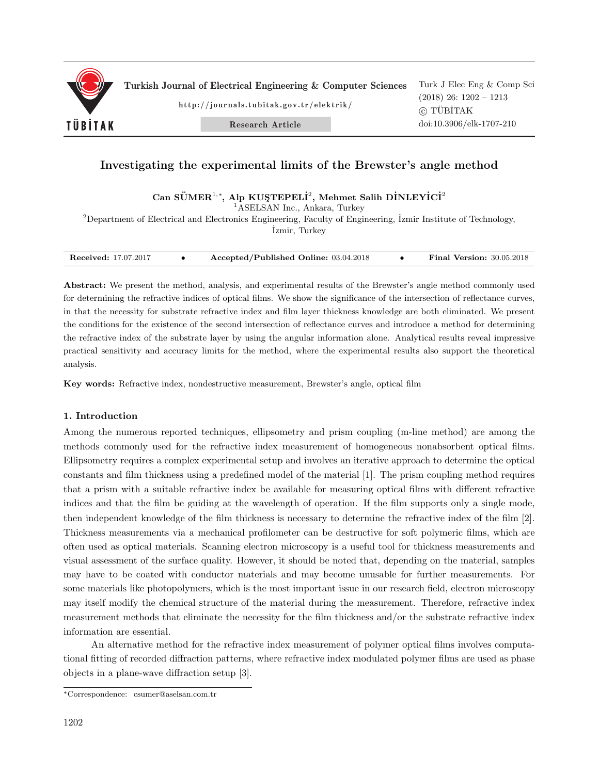

Turkish Journal of Electrical Engineering & Computer Sciences

http://journals.tubitak.gov.tr/elektrik/

Research Article

Turk J Elec Eng & Comp Sci (2018) 26: 1202 – 1213 *⃝*<sup>c</sup> TUB¨ ˙ITAK doi:10.3906/elk-1707-210

# **Investigating the experimental limits of the Brewster's angle method**

Can SÜMER<sup>1,\*</sup>, Alp KUŞTEPELİ<sup>2</sup>, Mehmet Salih DİNLEYİCİ<sup>2</sup>

<sup>1</sup>ASELSAN Inc., Ankara, Turkey

<sup>2</sup>Department of Electrical and Electronics Engineering, Faculty of Engineering, *İzmir Institute of Technology*,

˙Izmir, Turkey

| <b>Received:</b> 17.07.2017 | Accepted/Published Online: 03.04.2018 | <b>Final Version: 30.05.2018</b> |
|-----------------------------|---------------------------------------|----------------------------------|
|                             |                                       |                                  |

**Abstract:** We present the method, analysis, and experimental results of the Brewster's angle method commonly used for determining the refractive indices of optical films. We show the significance of the intersection of reflectance curves, in that the necessity for substrate refractive index and film layer thickness knowledge are both eliminated. We present the conditions for the existence of the second intersection of reflectance curves and introduce a method for determining the refractive index of the substrate layer by using the angular information alone. Analytical results reveal impressive practical sensitivity and accuracy limits for the method, where the experimental results also support the theoretical analysis.

**Key words:** Refractive index, nondestructive measurement, Brewster's angle, optical film

# **1. Introduction**

Among the numerous reported techniques, ellipsometry and prism coupling (m-line method) are among the methods commonly used for the refractive index measurement of homogeneous nonabsorbent optical films. Ellipsometry requires a complex experimental setup and involves an iterative approach to determine the optical constants and film thickness using a predefined model of the material [1]. The prism coupling method requires that a prism with a suitable refractive index be available for measuring optical films with different refractive indices and that the film be guiding at the wavelength of operation. If the film supports only a single mode, then independent knowledge of the film thickness is necessary to determine the refractive index of the film [2]. Thickness measurements via a mechanical profilometer can be destructive for soft polymeric films, which are often used as optical materials. Scanning electron microscopy is a useful tool for thickness measurements and visual assessment of the surface quality. However, it should be noted that, depending on the material, samples may have to be coated with conductor materials and may become unusable for further measurements. For some materials like photopolymers, which is the most important issue in our research field, electron microscopy may itself modify the chemical structure of the material during the measurement. Therefore, refractive index measurement methods that eliminate the necessity for the film thickness and/or the substrate refractive index information are essential.

An alternative method for the refractive index measurement of polymer optical films involves computational fitting of recorded diffraction patterns, where refractive index modulated polymer films are used as phase objects in a plane-wave diffraction setup [3].

*<sup>∗</sup>*Correspondence: csumer@aselsan.com.tr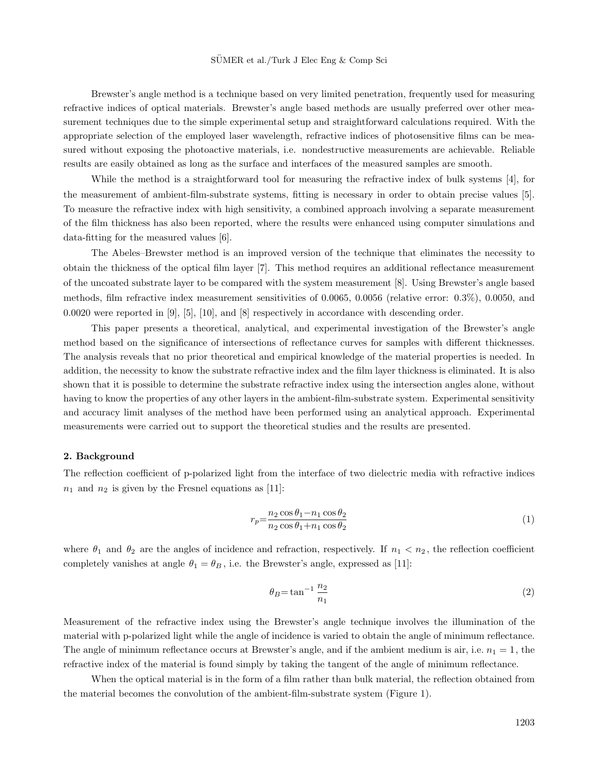Brewster's angle method is a technique based on very limited penetration, frequently used for measuring refractive indices of optical materials. Brewster's angle based methods are usually preferred over other measurement techniques due to the simple experimental setup and straightforward calculations required. With the appropriate selection of the employed laser wavelength, refractive indices of photosensitive films can be measured without exposing the photoactive materials, i.e. nondestructive measurements are achievable. Reliable results are easily obtained as long as the surface and interfaces of the measured samples are smooth.

While the method is a straightforward tool for measuring the refractive index of bulk systems [4], for the measurement of ambient-film-substrate systems, fitting is necessary in order to obtain precise values [5]. To measure the refractive index with high sensitivity, a combined approach involving a separate measurement of the film thickness has also been reported, where the results were enhanced using computer simulations and data-fitting for the measured values [6].

The Abeles–Brewster method is an improved version of the technique that eliminates the necessity to obtain the thickness of the optical film layer [7]. This method requires an additional reflectance measurement of the uncoated substrate layer to be compared with the system measurement [8]. Using Brewster's angle based methods, film refractive index measurement sensitivities of 0.0065, 0.0056 (relative error: 0.3%), 0.0050, and 0.0020 were reported in [9], [5], [10], and [8] respectively in accordance with descending order.

This paper presents a theoretical, analytical, and experimental investigation of the Brewster's angle method based on the significance of intersections of reflectance curves for samples with different thicknesses. The analysis reveals that no prior theoretical and empirical knowledge of the material properties is needed. In addition, the necessity to know the substrate refractive index and the film layer thickness is eliminated. It is also shown that it is possible to determine the substrate refractive index using the intersection angles alone, without having to know the properties of any other layers in the ambient-film-substrate system. Experimental sensitivity and accuracy limit analyses of the method have been performed using an analytical approach. Experimental measurements were carried out to support the theoretical studies and the results are presented.

#### **2. Background**

The reflection coefficient of p-polarized light from the interface of two dielectric media with refractive indices  $n_1$  and  $n_2$  is given by the Fresnel equations as [11]:

$$
r_p = \frac{n_2 \cos \theta_1 - n_1 \cos \theta_2}{n_2 \cos \theta_1 + n_1 \cos \theta_2} \tag{1}
$$

where  $\theta_1$  and  $\theta_2$  are the angles of incidence and refraction, respectively. If  $n_1 < n_2$ , the reflection coefficient completely vanishes at angle  $\theta_1 = \theta_B$ , i.e. the Brewster's angle, expressed as [11]:

$$
\theta_B = \tan^{-1} \frac{n_2}{n_1} \tag{2}
$$

Measurement of the refractive index using the Brewster's angle technique involves the illumination of the material with p-polarized light while the angle of incidence is varied to obtain the angle of minimum reflectance. The angle of minimum reflectance occurs at Brewster's angle, and if the ambient medium is air, i.e.  $n_1 = 1$ , the refractive index of the material is found simply by taking the tangent of the angle of minimum reflectance.

When the optical material is in the form of a film rather than bulk material, the reflection obtained from the material becomes the convolution of the ambient-film-substrate system (Figure 1).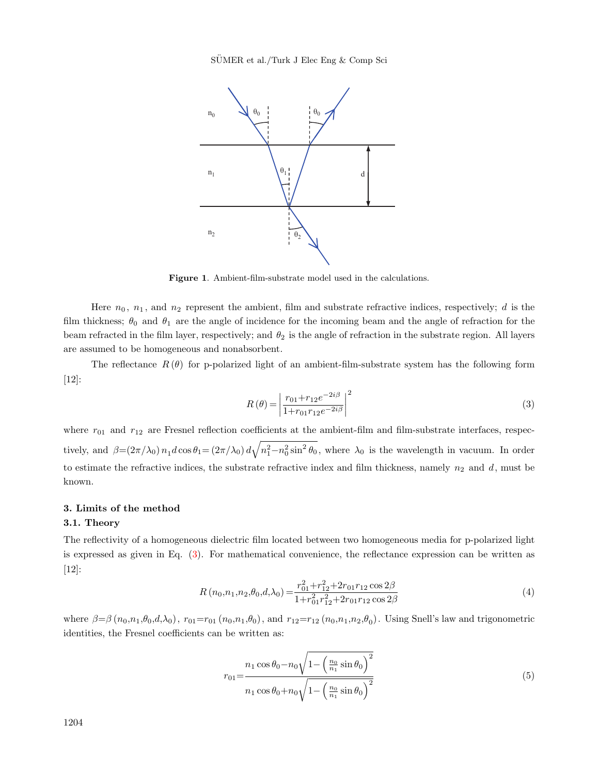$S\ddot{\text{U}}\text{MER}$ et al./Turk J Elec Eng & Comp Sci



**Figure 1**. Ambient-film-substrate model used in the calculations.

Here  $n_0$ ,  $n_1$ , and  $n_2$  represent the ambient, film and substrate refractive indices, respectively; *d* is the film thickness;  $\theta_0$  and  $\theta_1$  are the angle of incidence for the incoming beam and the angle of refraction for the beam refracted in the film layer, respectively; and *θ*<sup>2</sup> is the angle of refraction in the substrate region. All layers are assumed to be homogeneous and nonabsorbent.

<span id="page-2-0"></span>The reflectance  $R(\theta)$  for p-polarized light of an ambient-film-substrate system has the following form [12]:

$$
R(\theta) = \left| \frac{r_{01} + r_{12}e^{-2i\beta}}{1 + r_{01}r_{12}e^{-2i\beta}} \right|^2
$$
\n(3)

where  $r_{01}$  and  $r_{12}$  are Fresnel reflection coefficients at the ambient-film and film-substrate interfaces, respectively, and  $\beta = (2\pi/\lambda_0) n_1 d \cos \theta_1 = (2\pi/\lambda_0) d \sqrt{n_1^2 - n_0^2 \sin^2 \theta_0}$ , where  $\lambda_0$  is the wavelength in vacuum. In order to estimate the refractive indices, the substrate refractive index and film thickness, namely  $n_2$  and  $d$ , must be known.

# **3. Limits of the method**

# **3.1. Theory**

<span id="page-2-1"></span>The reflectivity of a homogeneous dielectric film located between two homogeneous media for p-polarized light is expressed as given in Eq. ([3\)](#page-2-0). For mathematical convenience, the reflectance expression can be written as [12]:

$$
R(n_0, n_1, n_2, \theta_0, d, \lambda_0) = \frac{r_{01}^2 + r_{12}^2 + 2r_{01}r_{12}\cos 2\beta}{1 + r_{01}^2r_{12}^2 + 2r_{01}r_{12}\cos 2\beta}
$$
(4)

where  $\beta = \beta (n_0, n_1, \theta_0, d, \lambda_0)$ ,  $r_{01} = r_{01} (n_0, n_1, \theta_0)$ , and  $r_{12} = r_{12} (n_0, n_1, n_2, \theta_0)$ . Using Snell's law and trigonometric identities, the Fresnel coefficients can be written as:

$$
r_{01} = \frac{n_1 \cos \theta_0 - n_0 \sqrt{1 - \left(\frac{n_0}{n_1} \sin \theta_0\right)^2}}{n_1 \cos \theta_0 + n_0 \sqrt{1 - \left(\frac{n_0}{n_1} \sin \theta_0\right)^2}}
$$
(5)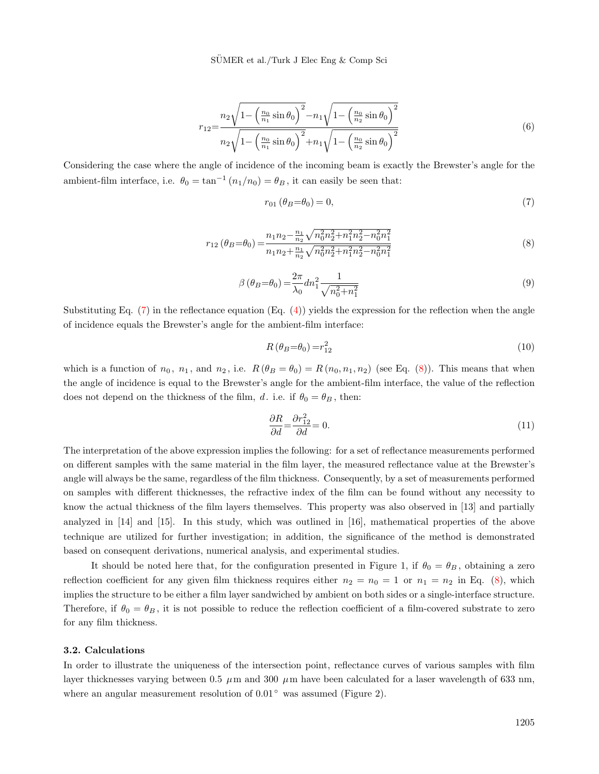$$
r_{12} = \frac{n_2 \sqrt{1 - \left(\frac{n_0}{n_1} \sin \theta_0\right)^2} - n_1 \sqrt{1 - \left(\frac{n_0}{n_2} \sin \theta_0\right)^2}}{n_2 \sqrt{1 - \left(\frac{n_0}{n_1} \sin \theta_0\right)^2} + n_1 \sqrt{1 - \left(\frac{n_0}{n_2} \sin \theta_0\right)^2}}
$$
(6)

<span id="page-3-1"></span>Considering the case where the angle of incidence of the incoming beam is exactly the Brewster's angle for the ambient-film interface, i.e.  $\theta_0 = \tan^{-1}(n_1/n_0) = \theta_B$ , it can easily be seen that:

<span id="page-3-0"></span>
$$
r_{01} \left(\theta_B = \theta_0\right) = 0,\tag{7}
$$

$$
r_{12} \left(\theta_B = \theta_0\right) = \frac{n_1 n_2 - \frac{n_1}{n_2} \sqrt{n_0^2 n_2^2 + n_1^2 n_2^2 - n_0^2 n_1^2}}{n_1 n_2 + \frac{n_1}{n_2} \sqrt{n_0^2 n_2^2 + n_1^2 n_2^2 - n_0^2 n_1^2}}
$$
\n
$$
\tag{8}
$$

$$
\beta (\theta_B = \theta_0) = \frac{2\pi}{\lambda_0} dn_1^2 \frac{1}{\sqrt{n_0^2 + n_1^2}}\tag{9}
$$

Substituting Eq.  $(7)$  $(7)$  in the reflectance equation (Eq.  $(4)$  $(4)$  $(4)$ ) yields the expression for the reflection when the angle of incidence equals the Brewster's angle for the ambient-film interface:

$$
R\left(\theta_B=\theta_0\right)=r_{12}^2\tag{10}
$$

which is a function of  $n_0$ ,  $n_1$ , and  $n_2$ , i.e.  $R(\theta_B = \theta_0) = R(n_0, n_1, n_2)$  (see Eq. [\(8](#page-3-1))). This means that when the angle of incidence is equal to the Brewster's angle for the ambient-film interface, the value of the reflection does not depend on the thickness of the film, *d*. i.e. if  $\theta_0 = \theta_B$ , then:

$$
\frac{\partial R}{\partial d} = \frac{\partial r_{12}^2}{\partial d} = 0.
$$
\n(11)

The interpretation of the above expression implies the following: for a set of reflectance measurements performed on different samples with the same material in the film layer, the measured reflectance value at the Brewster's angle will always be the same, regardless of the film thickness. Consequently, by a set of measurements performed on samples with different thicknesses, the refractive index of the film can be found without any necessity to know the actual thickness of the film layers themselves. This property was also observed in [13] and partially analyzed in [14] and [15]. In this study, which was outlined in [16], mathematical properties of the above technique are utilized for further investigation; in addition, the significance of the method is demonstrated based on consequent derivations, numerical analysis, and experimental studies.

It should be noted here that, for the configuration presented in Figure 1, if  $\theta_0 = \theta_B$ , obtaining a zero reflection coefficient for any given film thickness requires either  $n_2 = n_0 = 1$  or  $n_1 = n_2$  in Eq. ([8\)](#page-3-1), which implies the structure to be either a film layer sandwiched by ambient on both sides or a single-interface structure. Therefore, if  $\theta_0 = \theta_B$ , it is not possible to reduce the reflection coefficient of a film-covered substrate to zero for any film thickness.

#### **3.2. Calculations**

In order to illustrate the uniqueness of the intersection point, reflectance curves of various samples with film layer thicknesses varying between 0.5  $\mu$ m and 300  $\mu$ m have been calculated for a laser wavelength of 633 nm, where an angular measurement resolution of 0.01<sup>°</sup> was assumed (Figure 2).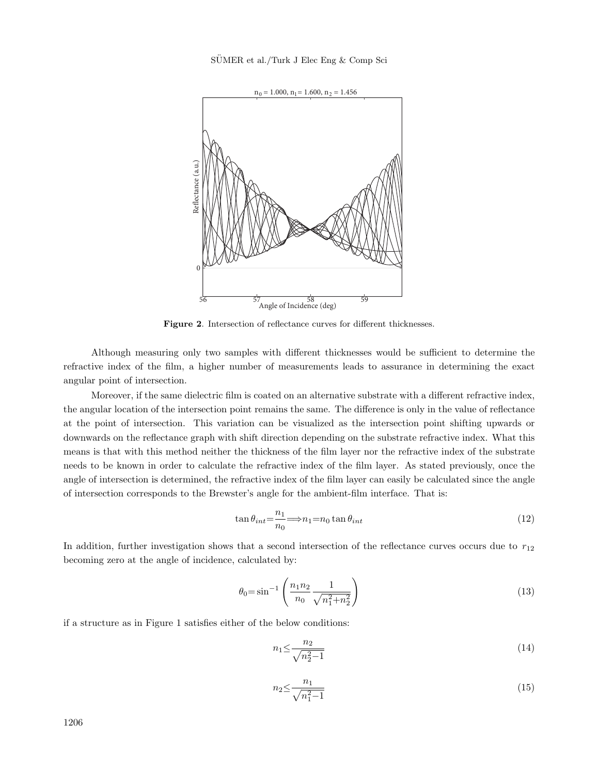$S\ddot{\text{U}}$ MER et al./Turk J Elec Eng & Comp Sci



**Figure 2**. Intersection of reflectance curves for different thicknesses.

Although measuring only two samples with different thicknesses would be sufficient to determine the refractive index of the film, a higher number of measurements leads to assurance in determining the exact angular point of intersection.

Moreover, if the same dielectric film is coated on an alternative substrate with a different refractive index, the angular location of the intersection point remains the same. The difference is only in the value of reflectance at the point of intersection. This variation can be visualized as the intersection point shifting upwards or downwards on the reflectance graph with shift direction depending on the substrate refractive index. What this means is that with this method neither the thickness of the film layer nor the refractive index of the substrate needs to be known in order to calculate the refractive index of the film layer. As stated previously, once the angle of intersection is determined, the refractive index of the film layer can easily be calculated since the angle of intersection corresponds to the Brewster's angle for the ambient-film interface. That is:

<span id="page-4-2"></span>
$$
\tan \theta_{int} = \frac{n_1}{n_0} \Longrightarrow n_1 = n_0 \tan \theta_{int} \tag{12}
$$

In addition, further investigation shows that a second intersection of the reflectance curves occurs due to  $r_{12}$ becoming zero at the angle of incidence, calculated by:

<span id="page-4-3"></span>
$$
\theta_0 = \sin^{-1}\left(\frac{n_1 n_2}{n_0} \frac{1}{\sqrt{n_1^2 + n_2^2}}\right) \tag{13}
$$

<span id="page-4-1"></span>if a structure as in Figure 1 satisfies either of the below conditions:

<span id="page-4-0"></span>
$$
n_1 \le \frac{n_2}{\sqrt{n_2^2 - 1}}\tag{14}
$$

$$
n_2 \le \frac{n_1}{\sqrt{n_1^2 - 1}}\tag{15}
$$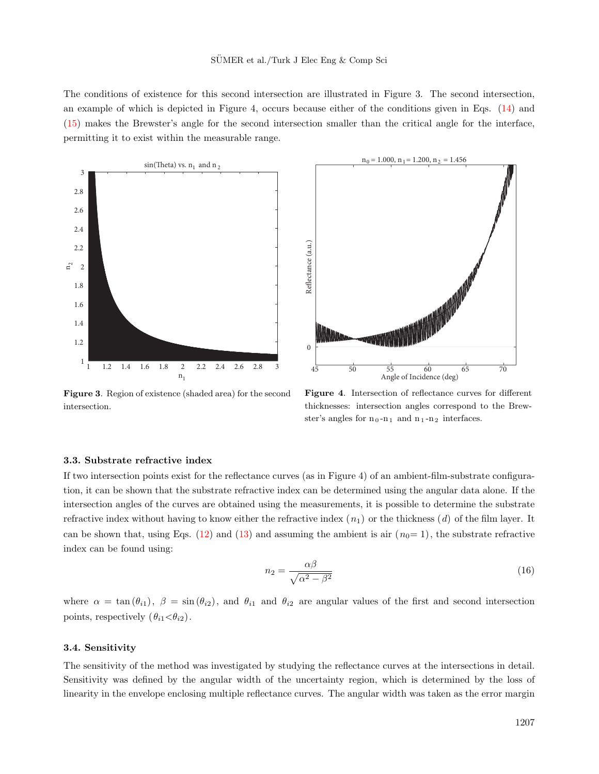The conditions of existence for this second intersection are illustrated in Figure 3. The second intersection, an example of which is depicted in Figure 4, occurs because either of the conditions given in Eqs. ([14\)](#page-4-0) and ([15\)](#page-4-1) makes the Brewster's angle for the second intersection smaller than the critical angle for the interface, permitting it to exist within the measurable range.



**Figure 3**. Region of existence (shaded area) for the second intersection.



**Figure 4**. Intersection of reflectance curves for different thicknesses: intersection angles correspond to the Brewster's angles for  $n_0 - n_1$  and  $n_1 - n_2$  interfaces.

# **3.3. Substrate refractive index**

If two intersection points exist for the reflectance curves (as in Figure 4) of an ambient-film-substrate configuration, it can be shown that the substrate refractive index can be determined using the angular data alone. If the intersection angles of the curves are obtained using the measurements, it is possible to determine the substrate refractive index without having to know either the refractive index (*n*1) or the thickness (*d*) of the film layer. It can be shown that, using Eqs.  $(12)$  $(12)$  $(12)$  and  $(13)$  $(13)$  and assuming the ambient is air  $(n_0=1)$ , the substrate refractive index can be found using:

<span id="page-5-0"></span>
$$
n_2 = \frac{\alpha \beta}{\sqrt{\alpha^2 - \beta^2}}\tag{16}
$$

where  $\alpha = \tan(\theta_{i1}), \ \beta = \sin(\theta_{i2}),$  and  $\theta_{i1}$  and  $\theta_{i2}$  are angular values of the first and second intersection points, respectively  $(\theta_{i1} < \theta_{i2})$ .

### **3.4. Sensitivity**

The sensitivity of the method was investigated by studying the reflectance curves at the intersections in detail. Sensitivity was defined by the angular width of the uncertainty region, which is determined by the loss of linearity in the envelope enclosing multiple reflectance curves. The angular width was taken as the error margin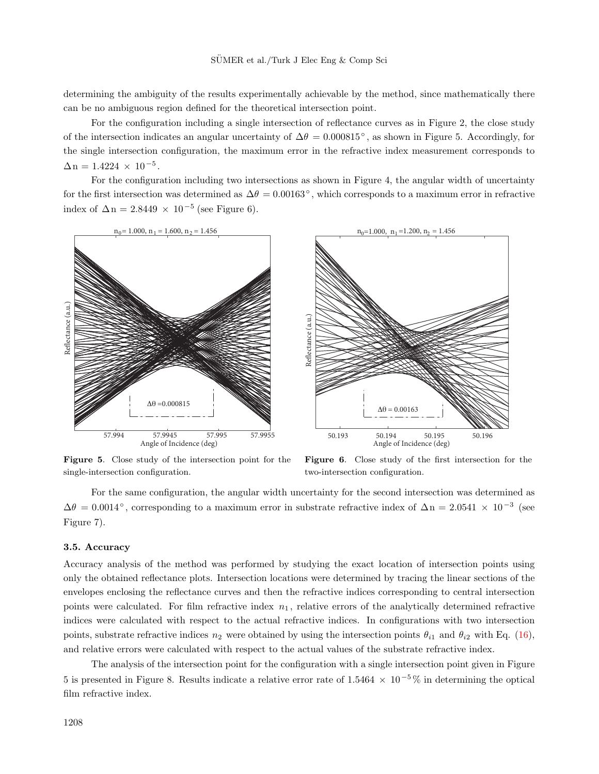determining the ambiguity of the results experimentally achievable by the method, since mathematically there can be no ambiguous region defined for the theoretical intersection point.

For the configuration including a single intersection of reflectance curves as in Figure 2, the close study of the intersection indicates an angular uncertainty of ∆*θ* = 0.000815*◦* , as shown in Figure 5. Accordingly, for the single intersection configuration, the maximum error in the refractive index measurement corresponds to  $\Delta$ n = 1.4224 × 10<sup>-5</sup>.

For the configuration including two intersections as shown in Figure 4, the angular width of uncertainty for the first intersection was determined as ∆*θ* = 0.00163 *◦* , which corresponds to a maximum error in refractive index of  $\Delta$ n = 2.8449 × 10<sup>-5</sup> (see Figure 6).



**Figure 5**. Close study of the intersection point for the single-intersection configuration.

**Figure 6**. Close study of the first intersection for the two-intersection configuration.

For the same configuration, the angular width uncertainty for the second intersection was determined as  $\Delta θ = 0.0014°$ , corresponding to a maximum error in substrate refractive index of  $\Delta n = 2.0541 \times 10^{-3}$  (see Figure 7).

#### **3.5. Accuracy**

Accuracy analysis of the method was performed by studying the exact location of intersection points using only the obtained reflectance plots. Intersection locations were determined by tracing the linear sections of the envelopes enclosing the reflectance curves and then the refractive indices corresponding to central intersection points were calculated. For film refractive index  $n_1$ , relative errors of the analytically determined refractive indices were calculated with respect to the actual refractive indices. In configurations with two intersection points, substrate refractive indices  $n_2$  were obtained by using the intersection points  $\theta_{i1}$  and  $\theta_{i2}$  with Eq. [\(16](#page-5-0)), and relative errors were calculated with respect to the actual values of the substrate refractive index.

The analysis of the intersection point for the configuration with a single intersection point given in Figure 5 is presented in Figure 8. Results indicate a relative error rate of 1.5464 *<sup>×</sup>* <sup>10</sup>*−*<sup>5</sup> % in determining the optical film refractive index.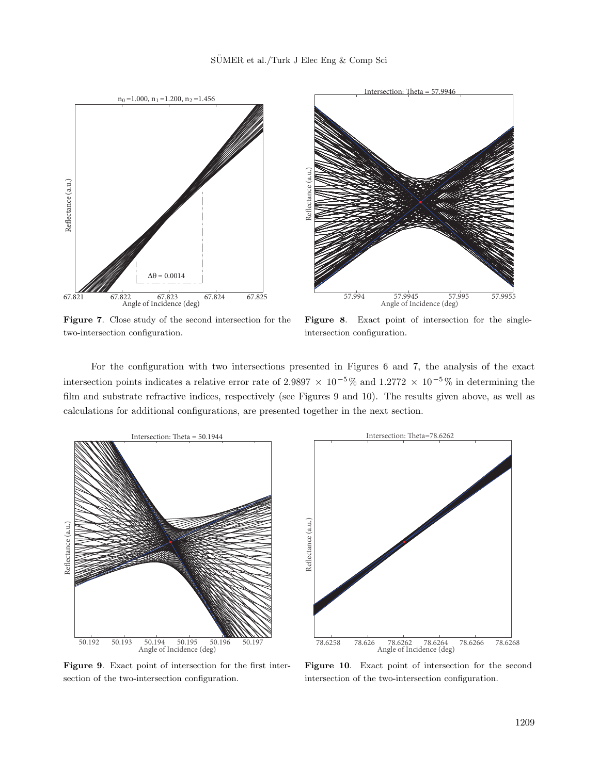

**Figure 7**. Close study of the second intersection for the two-intersection configuration.



**Figure 8**. Exact point of intersection for the singleintersection configuration.

For the configuration with two intersections presented in Figures 6 and 7, the analysis of the exact intersection points indicates a relative error rate of 2.9897 *<sup>×</sup>* <sup>10</sup>*−*<sup>5</sup> % and 1.2772 *<sup>×</sup>* <sup>10</sup>*−*<sup>5</sup> % in determining the film and substrate refractive indices, respectively (see Figures 9 and 10). The results given above, as well as calculations for additional configurations, are presented together in the next section.



**Figure 9**. Exact point of intersection for the first intersection of the two-intersection configuration.



Figure 10. Exact point of intersection for the second intersection of the two-intersection configuration.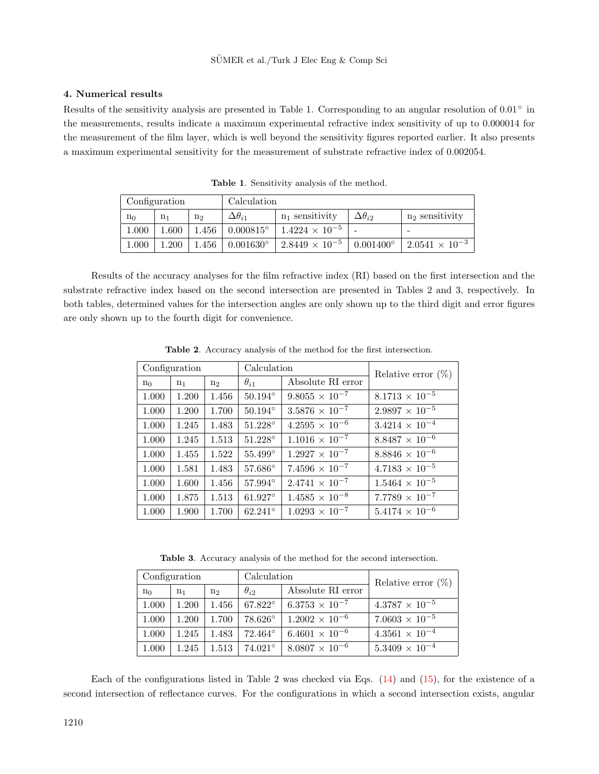# **4. Numerical results**

Results of the sensitivity analysis are presented in Table 1. Corresponding to an angular resolution of 0.01<sup>°</sup> in the measurements, results indicate a maximum experimental refractive index sensitivity of up to 0.000014 for the measurement of the film layer, which is well beyond the sensitivity figures reported earlier. It also presents a maximum experimental sensitivity for the measurement of substrate refractive index of 0.002054.

| Configuration |       | Calculation    |                      |                         |                      |                         |
|---------------|-------|----------------|----------------------|-------------------------|----------------------|-------------------------|
| $n_0$         | $n_1$ | n <sub>2</sub> | $\Delta \theta_{i1}$ | $n_1$ sensitivity       | $\Delta \theta_{i2}$ | $n_2$ sensitivity       |
| 1.000         | 1.600 | 1.456          | $0.000815^{\circ}$   | $1.4224 \times 10^{-5}$ |                      |                         |
| 1.000         | 1.200 | 1.456          | $0.001630^{\circ}$   | $2.8449 \times 10^{-5}$ | $0.001400^{\circ}$   | $2.0541 \times 10^{-3}$ |

**Table 1**. Sensitivity analysis of the method.

Results of the accuracy analyses for the film refractive index (RI) based on the first intersection and the substrate refractive index based on the second intersection are presented in Tables 2 and 3, respectively. In both tables, determined values for the intersection angles are only shown up to the third digit and error figures are only shown up to the fourth digit for convenience.

| Configuration |                |                | Calculation      |                         |                         |
|---------------|----------------|----------------|------------------|-------------------------|-------------------------|
|               |                |                |                  | Relative error $(\%)$   |                         |
| $n_0$         | n <sub>1</sub> | n <sub>2</sub> | $\theta_{i1}$    | Absolute RI error       |                         |
| 1.000         | 1.200          | 1.456          | $50.194^{\circ}$ | $9.8055 \times 10^{-7}$ | $8.1713 \times 10^{-5}$ |
| 1.000         | 1.200          | 1.700          | $50.194^\circ$   | $3.5876 \times 10^{-7}$ | $2.9897 \times 10^{-5}$ |
| 1.000         | 1.245          | 1.483          | $51.228^{\circ}$ | $4.2595 \times 10^{-6}$ | $3.4214 \times 10^{-4}$ |
| 1.000         | 1.245          | 1.513          | $51.228^{\circ}$ | $1.1016 \times 10^{-7}$ | $8.8487 \times 10^{-6}$ |
| 1.000         | 1.455          | 1.522          | $55.499^{\circ}$ | $1.2927 \times 10^{-7}$ | $8.8846 \times 10^{-6}$ |
| 1.000         | 1.581          | 1.483          | $57.686^\circ$   | $7.4596 \times 10^{-7}$ | $4.7183 \times 10^{-5}$ |
| 1.000         | 1.600          | 1.456          | $57.994^{\circ}$ | $2.4741 \times 10^{-7}$ | $1.5464 \times 10^{-5}$ |
| 1.000         | 1.875          | 1.513          | $61.927^{\circ}$ | $1.4585 \times 10^{-8}$ | $7.7789 \times 10^{-7}$ |
| 1.000         | 1.900          | 1.700          | $62.241^{\circ}$ | $1.0293 \times 10^{-7}$ | $5.4174 \times 10^{-6}$ |

**Table 2**. Accuracy analysis of the method for the first intersection.

**Table 3**. Accuracy analysis of the method for the second intersection.

| Configuration |                | Calculation    |                  | Relative error $(\%)$   |                         |
|---------------|----------------|----------------|------------------|-------------------------|-------------------------|
| $n_0$         | n <sub>1</sub> | n <sub>2</sub> | $\theta_{i2}$    | Absolute RI error       |                         |
| 1.000         | 1.200          | 1.456          | 67.822°          | $6.3753 \times 10^{-7}$ | $4.3787 \times 10^{-5}$ |
| 1.000         | 1.200          | 1.700          | $78.626^{\circ}$ | $1.2002 \times 10^{-6}$ | $7.0603 \times 10^{-5}$ |
| 1.000         | 1.245          | 1.483          | $72.464^{\circ}$ | $6.4601 \times 10^{-6}$ | $4.3561 \times 10^{-4}$ |
| 1.000         | 1.245          | 1.513          | $74.021^{\circ}$ | $8.0807 \times 10^{-6}$ | $5.3409 \times 10^{-4}$ |

Each of the configurations listed in Table 2 was checked via Eqs.  $(14)$  $(14)$  and  $(15)$  $(15)$ , for the existence of a second intersection of reflectance curves. For the configurations in which a second intersection exists, angular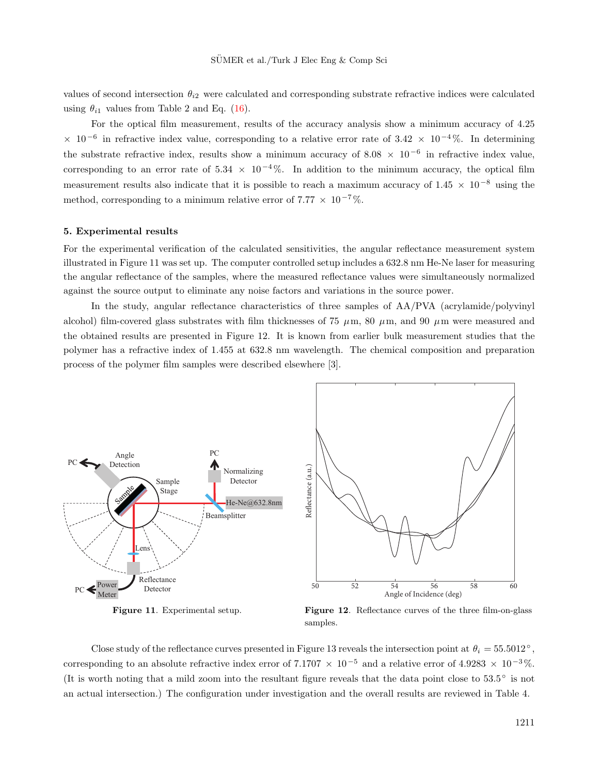values of second intersection  $\theta_{i2}$  were calculated and corresponding substrate refractive indices were calculated using  $\theta_{i1}$  values from Table 2 and Eq. ([16\)](#page-5-0).

For the optical film measurement, results of the accuracy analysis show a minimum accuracy of 4.25 *<sup>×</sup>* <sup>10</sup>*−*<sup>6</sup> in refractive index value, corresponding to a relative error rate of 3.42 *<sup>×</sup>* <sup>10</sup>*−*<sup>4</sup> %. In determining the substrate refractive index, results show a minimum accuracy of 8.08 *<sup>×</sup>* <sup>10</sup>*−*<sup>6</sup> in refractive index value, corresponding to an error rate of 5.34  $\times$  10<sup>-4</sup>%. In addition to the minimum accuracy, the optical film measurement results also indicate that it is possible to reach a maximum accuracy of 1.45 *<sup>×</sup>* <sup>10</sup>*−*<sup>8</sup> using the method, corresponding to a minimum relative error of  $7.77 \times 10^{-7}$ %.

#### **5. Experimental results**

For the experimental verification of the calculated sensitivities, the angular reflectance measurement system illustrated in Figure 11 was set up. The computer controlled setup includes a 632.8 nm He-Ne laser for measuring the angular reflectance of the samples, where the measured reflectance values were simultaneously normalized against the source output to eliminate any noise factors and variations in the source power.

In the study, angular reflectance characteristics of three samples of AA/PVA (acrylamide/polyvinyl alcohol) film-covered glass substrates with film thicknesses of 75  $\mu$ m, 80  $\mu$ m, and 90  $\mu$ m were measured and the obtained results are presented in Figure 12. It is known from earlier bulk measurement studies that the polymer has a refractive index of 1.455 at 632.8 nm wavelength. The chemical composition and preparation process of the polymer film samples were described elsewhere [3].



**Figure 11**. Experimental setup. **Figure 12**. Reflectance curves of the three film-on-glass samples.

Close study of the reflectance curves presented in Figure 13 reveals the intersection point at  $\theta_i = 55.5012^\circ$ , corresponding to an absolute refractive index error of 7.1707 *<sup>×</sup>* <sup>10</sup>*−*<sup>5</sup> and a relative error of 4.9283 *<sup>×</sup>* <sup>10</sup>*−*<sup>3</sup> %. (It is worth noting that a mild zoom into the resultant figure reveals that the data point close to 53.5 *◦* is not an actual intersection.) The configuration under investigation and the overall results are reviewed in Table 4.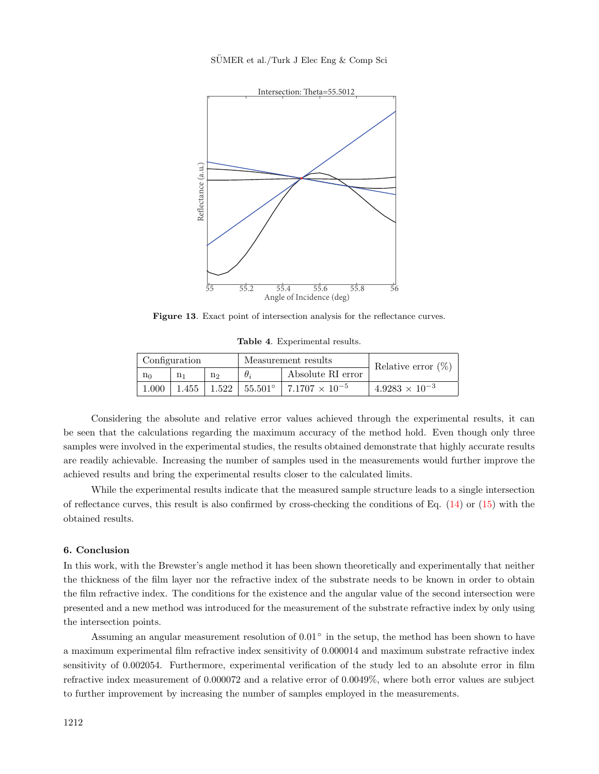

**Figure 13**. Exact point of intersection analysis for the reflectance curves.

**Table 4**. Experimental results.

| Configuration |    | Measurement results |            | Relative error $(\%)$                                          |                         |
|---------------|----|---------------------|------------|----------------------------------------------------------------|-------------------------|
| $n_0$         | n1 | n۰                  | $\theta_i$ | Absolute RI error                                              |                         |
| 1.000         |    |                     |            | $1.455$   $1.522$   $55.501^{\circ}$   $7.1707 \times 10^{-5}$ | $4.9283 \times 10^{-3}$ |

Considering the absolute and relative error values achieved through the experimental results, it can be seen that the calculations regarding the maximum accuracy of the method hold. Even though only three samples were involved in the experimental studies, the results obtained demonstrate that highly accurate results are readily achievable. Increasing the number of samples used in the measurements would further improve the achieved results and bring the experimental results closer to the calculated limits.

While the experimental results indicate that the measured sample structure leads to a single intersection of reflectance curves, this result is also confirmed by cross-checking the conditions of Eq. ([14\)](#page-4-0) or [\(15](#page-4-1)) with the obtained results.

# **6. Conclusion**

In this work, with the Brewster's angle method it has been shown theoretically and experimentally that neither the thickness of the film layer nor the refractive index of the substrate needs to be known in order to obtain the film refractive index. The conditions for the existence and the angular value of the second intersection were presented and a new method was introduced for the measurement of the substrate refractive index by only using the intersection points.

Assuming an angular measurement resolution of 0.01 *◦* in the setup, the method has been shown to have a maximum experimental film refractive index sensitivity of 0.000014 and maximum substrate refractive index sensitivity of 0.002054. Furthermore, experimental verification of the study led to an absolute error in film refractive index measurement of 0.000072 and a relative error of 0.0049%, where both error values are subject to further improvement by increasing the number of samples employed in the measurements.